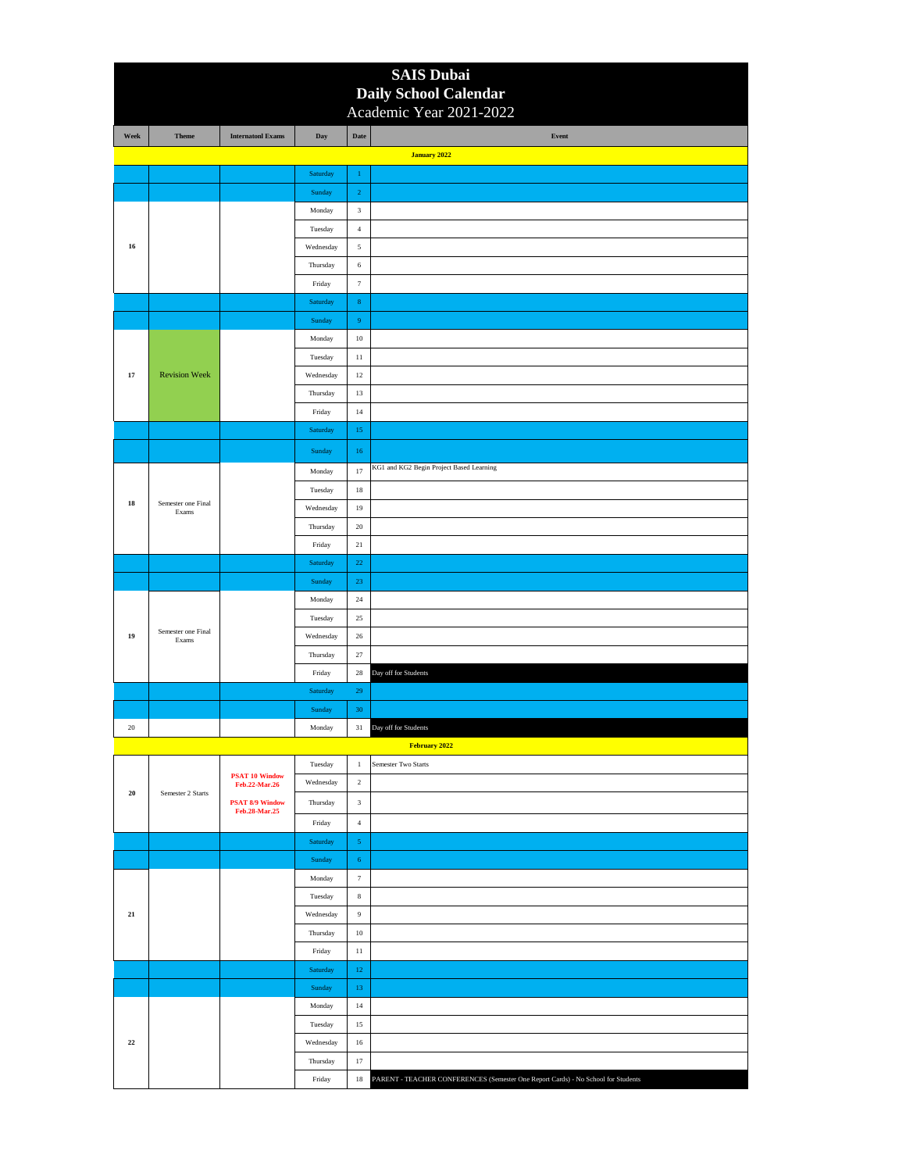|            |                             |                                         |                    |                             | <b>SAIS Dubai</b>                                                                 |
|------------|-----------------------------|-----------------------------------------|--------------------|-----------------------------|-----------------------------------------------------------------------------------|
|            |                             |                                         |                    |                             | Daily School Calendar                                                             |
|            |                             |                                         |                    |                             | Academic Year 2021-2022                                                           |
| Week       | <b>Theme</b>                | <b>Internatonl Exams</b>                | Day                | Date                        | Event<br>January 2022                                                             |
|            |                             |                                         | Saturday           | $\,1\,$                     |                                                                                   |
|            |                             |                                         | Sunday             | $\,2\,$                     |                                                                                   |
|            |                             |                                         | Monday             | $\ensuremath{\mathfrak{Z}}$ |                                                                                   |
|            |                             |                                         | Tuesday            | $\overline{4}$              |                                                                                   |
| 16         |                             |                                         | Wednesday          | $\sqrt{5}$                  |                                                                                   |
|            |                             |                                         | Thursday           | $\sqrt{6}$                  |                                                                                   |
|            |                             |                                         | Friday             | $\boldsymbol{7}$            |                                                                                   |
|            |                             |                                         | Saturday           | $\bf 8$                     |                                                                                   |
|            |                             |                                         | Sunday             | $\boldsymbol{9}$            |                                                                                   |
|            |                             |                                         | Monday             | $10\,$                      |                                                                                   |
|            |                             |                                         | Tuesday            | $11\,$                      |                                                                                   |
| 17         | <b>Revision Week</b>        |                                         | Wednesday          | 12                          |                                                                                   |
|            |                             |                                         | Thursday           | 13                          |                                                                                   |
|            |                             |                                         | Friday             | $14\,$                      |                                                                                   |
|            |                             |                                         | Saturday           | 15                          |                                                                                   |
|            |                             |                                         | Sunday             | 16                          |                                                                                   |
|            |                             |                                         | Monday             | 17                          | KG1 and KG2 Begin Project Based Learning                                          |
|            |                             |                                         | Tuesday            | $18\,$                      |                                                                                   |
| 18         | Semester one Final<br>Exams |                                         | Wednesday          | 19                          |                                                                                   |
|            |                             |                                         | Thursday           | 20                          |                                                                                   |
|            |                             |                                         | Friday             | $21\,$                      |                                                                                   |
|            |                             |                                         | Saturday           | $22\,$                      |                                                                                   |
|            |                             |                                         | Sunday             | $23\,$                      |                                                                                   |
|            |                             |                                         | Monday             | 24                          |                                                                                   |
|            |                             |                                         | Tuesday            | $25\,$                      |                                                                                   |
| 19         | Semester one Final<br>Exams |                                         | Wednesday          | $26\,$                      |                                                                                   |
|            |                             |                                         | Thursday           | $\sqrt{27}$                 |                                                                                   |
|            |                             |                                         | Friday             | 28                          | Day off for Students                                                              |
|            |                             |                                         | Saturday           | $\sqrt{29}$                 |                                                                                   |
|            |                             |                                         | Sunday             | 30                          |                                                                                   |
| 20         |                             |                                         | Monday             | 31                          | Day off for Students                                                              |
|            |                             |                                         |                    |                             | February 2022                                                                     |
|            |                             | <b>PSAT 10 Window</b>                   | Tuesday            | $\,1\,$                     | Semester Two Starts                                                               |
| ${\bf 20}$ | Semester 2 Starts           | Feb.22-Mar.26                           | Wednesday          | $\,2$                       |                                                                                   |
|            |                             | <b>PSAT 8/9 Window</b><br>Feb.28-Mar.25 | Thursday           | $\ensuremath{\mathbf{3}}$   |                                                                                   |
|            |                             |                                         | Friday             | $\sqrt{4}$                  |                                                                                   |
|            |                             |                                         | Saturday           | $\mathbf{5}$                |                                                                                   |
|            |                             |                                         | Sunday             | $\sqrt{6}$                  |                                                                                   |
|            |                             |                                         | Monday             | $\tau$                      |                                                                                   |
|            |                             |                                         | Tuesday            | $\,$ 8 $\,$                 |                                                                                   |
| $\bf{21}$  |                             |                                         | Wednesday          | 9                           |                                                                                   |
|            |                             |                                         | Thursday           | $10\,$                      |                                                                                   |
|            |                             |                                         | Friday             | $11\,$<br>$12\,$            |                                                                                   |
|            |                             |                                         | Saturday<br>Sunday | 13                          |                                                                                   |
|            |                             |                                         | Monday             | 14                          |                                                                                   |
|            |                             |                                         | Tuesday            | $15\,$                      |                                                                                   |
| $\bf 22$   |                             |                                         | Wednesday          | $16\,$                      |                                                                                   |
|            |                             |                                         | Thursday           | $17\,$                      |                                                                                   |
|            |                             |                                         | Friday             | $18\,$                      | PARENT - TEACHER CONFERENCES (Semester One Report Cards) - No School for Students |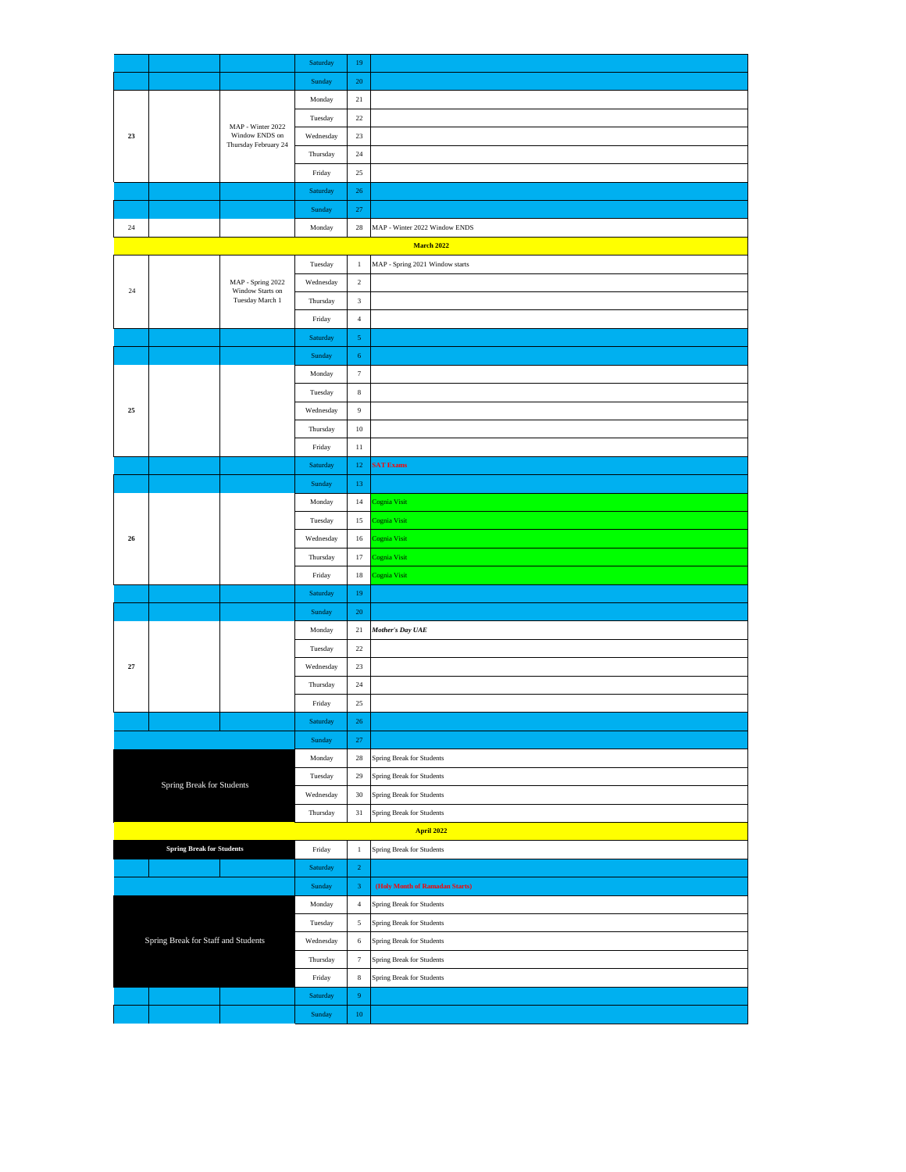|                                     |                                  |                                                             | Saturday         | $19\,$                    |                                 |  |  |  |  |
|-------------------------------------|----------------------------------|-------------------------------------------------------------|------------------|---------------------------|---------------------------------|--|--|--|--|
|                                     |                                  |                                                             | Sunday           | $20\,$                    |                                 |  |  |  |  |
|                                     |                                  | MAP - Winter 2022<br>Window ENDS on<br>Thursday February 24 | Monday           | 21                        |                                 |  |  |  |  |
|                                     |                                  |                                                             | Tuesday          | $22\,$                    |                                 |  |  |  |  |
| $\bf 23$                            |                                  |                                                             | Wednesday        | $23\,$                    |                                 |  |  |  |  |
|                                     |                                  |                                                             | Thursday         | $\sqrt{24}$               |                                 |  |  |  |  |
|                                     |                                  |                                                             | Friday           | $25\,$                    |                                 |  |  |  |  |
|                                     |                                  |                                                             | Saturday         | ${\bf 26}$                |                                 |  |  |  |  |
|                                     |                                  |                                                             | Sunday           | $27\,$                    |                                 |  |  |  |  |
| $24\,$                              |                                  |                                                             | Monday           | $\sqrt{28}$               | MAP - Winter 2022 Window ENDS   |  |  |  |  |
|                                     | <b>March 2022</b>                |                                                             |                  |                           |                                 |  |  |  |  |
|                                     |                                  |                                                             | Tuesday          | $\,1\,$                   | MAP - Spring 2021 Window starts |  |  |  |  |
|                                     |                                  | MAP - Spring 2022                                           | Wednesday        | $\,2$                     |                                 |  |  |  |  |
| $24\,$                              |                                  | Window Starts on<br>Tuesday March 1                         | Thursday         | $\,$ 3 $\,$               |                                 |  |  |  |  |
|                                     |                                  |                                                             | Friday           | $\,$ 4 $\,$               |                                 |  |  |  |  |
|                                     |                                  |                                                             | Saturday         | $\sqrt{5}$                |                                 |  |  |  |  |
|                                     |                                  |                                                             | Sunday           | $\sqrt{6}$                |                                 |  |  |  |  |
|                                     |                                  |                                                             | Monday           | $\tau$                    |                                 |  |  |  |  |
|                                     |                                  |                                                             | Tuesday          | $\,$ 8 $\,$               |                                 |  |  |  |  |
| 25                                  |                                  |                                                             | Wednesday        | $\boldsymbol{9}$          |                                 |  |  |  |  |
|                                     |                                  |                                                             | Thursday         | $10\,$                    |                                 |  |  |  |  |
|                                     |                                  |                                                             | Friday           | $11\,$                    |                                 |  |  |  |  |
|                                     |                                  |                                                             | Saturday         | 12 <sub>1</sub>           | <b>SAT Exams</b>                |  |  |  |  |
|                                     |                                  |                                                             | Sunday           | 13                        |                                 |  |  |  |  |
|                                     |                                  |                                                             | Monday           | 14                        | Cognia Visit                    |  |  |  |  |
|                                     |                                  |                                                             | Tuesday          | 15                        | Cognia Visit                    |  |  |  |  |
| ${\bf 26}$                          |                                  |                                                             | Wednesday        | $16\,$                    | Cognia Visit                    |  |  |  |  |
|                                     |                                  |                                                             | Thursday         | 17                        | Cognia Visit                    |  |  |  |  |
|                                     |                                  |                                                             | Friday           | $18\,$                    | Cognia Visit                    |  |  |  |  |
|                                     |                                  |                                                             | Saturday         | $19\,$                    |                                 |  |  |  |  |
|                                     |                                  |                                                             | Sunday           | $20\,$                    |                                 |  |  |  |  |
|                                     |                                  |                                                             | Monday           | 21                        | <b>Mother's Day UAE</b>         |  |  |  |  |
|                                     |                                  |                                                             | Tuesday          | $22\,$                    |                                 |  |  |  |  |
| $\bf 27$                            |                                  |                                                             | Wednesday        | $23\,$                    |                                 |  |  |  |  |
|                                     |                                  |                                                             | Thursday         | $\sqrt{24}$               |                                 |  |  |  |  |
|                                     |                                  |                                                             | Friday           | $25\,$                    |                                 |  |  |  |  |
|                                     |                                  |                                                             | Saturday         | 26                        |                                 |  |  |  |  |
|                                     |                                  | Sunday                                                      | $27\,$           |                           |                                 |  |  |  |  |
|                                     |                                  | Monday                                                      | $\sqrt{28}$      | Spring Break for Students |                                 |  |  |  |  |
|                                     | Spring Break for Students        |                                                             | Tuesday          | 29                        | Spring Break for Students       |  |  |  |  |
|                                     |                                  |                                                             | Wednesday        | $30\,$                    | Spring Break for Students       |  |  |  |  |
|                                     |                                  |                                                             | Thursday         | $31\,$                    | Spring Break for Students       |  |  |  |  |
|                                     |                                  |                                                             |                  |                           | <b>April 2022</b>               |  |  |  |  |
|                                     | <b>Spring Break for Students</b> |                                                             | Friday           | $\,1\,$                   | Spring Break for Students       |  |  |  |  |
|                                     |                                  |                                                             | Saturday         | $\,2\,$                   |                                 |  |  |  |  |
|                                     |                                  |                                                             | Sunday           | $\ensuremath{\mathbf{3}}$ | (Holy Month of Ramadan Starts)  |  |  |  |  |
|                                     |                                  |                                                             |                  | $\,$ 4 $\,$               | Spring Break for Students       |  |  |  |  |
|                                     |                                  |                                                             | Tuesday          | $\sqrt{5}$                | Spring Break for Students       |  |  |  |  |
| Spring Break for Staff and Students |                                  | Wednesday                                                   | 6                | Spring Break for Students |                                 |  |  |  |  |
|                                     |                                  | Thursday                                                    | $\boldsymbol{7}$ | Spring Break for Students |                                 |  |  |  |  |
|                                     |                                  |                                                             | Friday           | $\,$ 8 $\,$               | Spring Break for Students       |  |  |  |  |
|                                     |                                  |                                                             | Saturday         | $\overline{9}$            |                                 |  |  |  |  |
|                                     |                                  |                                                             | Sunday           | $10\,$                    |                                 |  |  |  |  |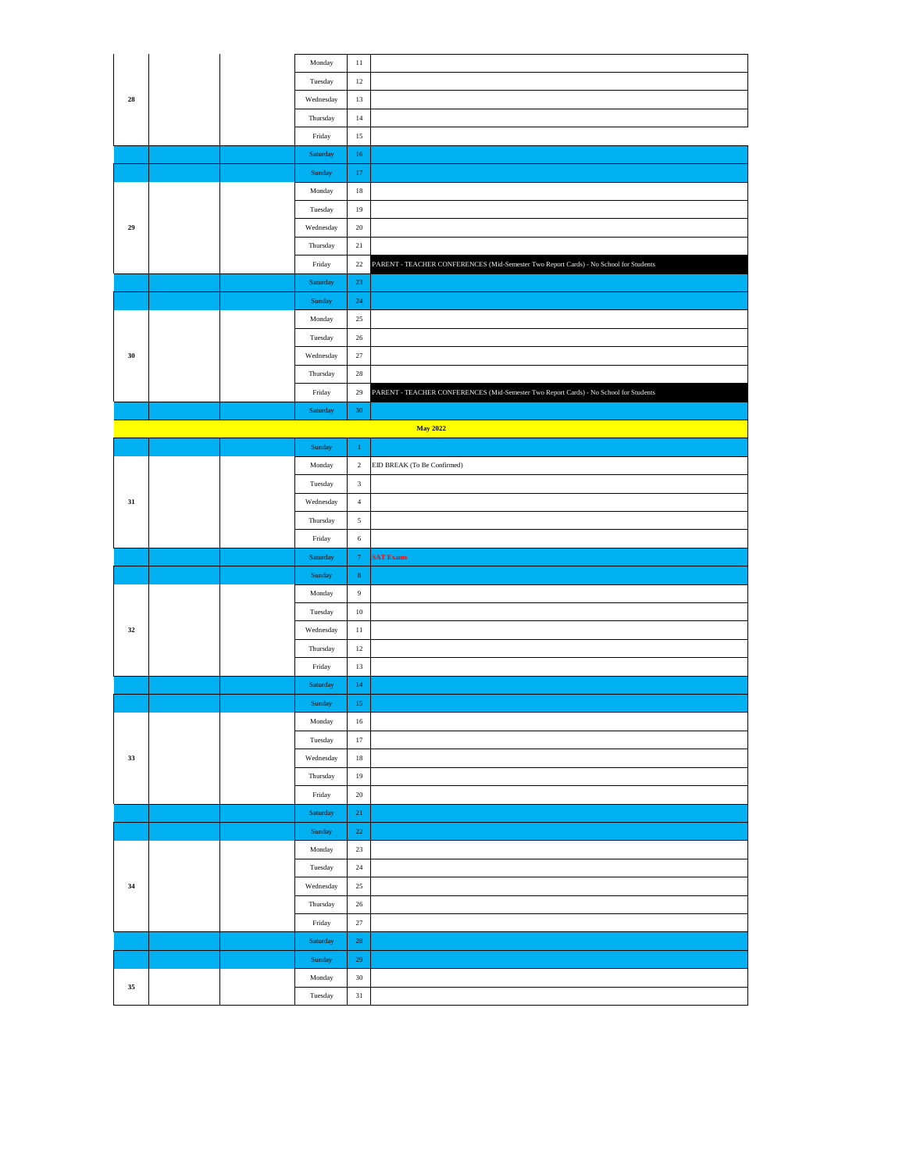|  |        |    |  |                           | 11               |                                                                                       |
|--|--------|----|--|---------------------------|------------------|---------------------------------------------------------------------------------------|
|  | 28     |    |  | Monday                    |                  |                                                                                       |
|  |        |    |  | Tuesday                   | $12\,$           |                                                                                       |
|  |        |    |  | Wednesday                 | $13\,$           |                                                                                       |
|  |        |    |  | Thursday                  | $14\,$           |                                                                                       |
|  |        |    |  | Friday                    | $15\,$           |                                                                                       |
|  |        |    |  | Saturday                  | $16\,$           |                                                                                       |
|  |        |    |  | Sunday                    | $17\,$           |                                                                                       |
|  |        |    |  | Monday                    | $18\,$           |                                                                                       |
|  | 29     |    |  | Tuesday                   | 19               |                                                                                       |
|  |        |    |  | Wednesday                 | $20\,$           |                                                                                       |
|  |        |    |  |                           |                  |                                                                                       |
|  |        |    |  | Thursday                  | $21\,$           |                                                                                       |
|  |        |    |  | Friday                    | $22\,$           | PARENT - TEACHER CONFERENCES (Mid-Semester Two Report Cards) - No School for Students |
|  |        |    |  | Saturday                  | 23               |                                                                                       |
|  |        |    |  | Sunday                    | $24\,$           |                                                                                       |
|  |        |    |  | Monday                    | $25\,$           |                                                                                       |
|  |        |    |  | Tuesday                   | $\sqrt{26}$      |                                                                                       |
|  | 30     |    |  | Wednesday                 | 27               |                                                                                       |
|  |        |    |  | Thursday                  | 28               |                                                                                       |
|  |        |    |  | Friday                    | $\sqrt{29}$      | PARENT - TEACHER CONFERENCES (Mid-Semester Two Report Cards) - No School for Students |
|  |        |    |  |                           |                  |                                                                                       |
|  |        |    |  | Saturday                  | $30\,$           |                                                                                       |
|  |        |    |  |                           |                  | <b>May 2022</b>                                                                       |
|  |        |    |  | $\operatorname{Sunday}$   | $\,1\,$          |                                                                                       |
|  |        |    |  | Monday                    | $\,2\,$          | EID BREAK (To Be Confirmed)                                                           |
|  |        |    |  | Tuesday                   | $\sqrt{3}$       |                                                                                       |
|  | 31     |    |  | Wednesday                 | $\,$ 4 $\,$      |                                                                                       |
|  |        |    |  | Thursday                  | $\sqrt{5}$       |                                                                                       |
|  |        |    |  | Friday                    | $\,$ 6 $\,$      |                                                                                       |
|  |        |    |  | Saturday                  | $\tau$           | <b>SAT Exams</b>                                                                      |
|  |        |    |  | Sunday                    | $\mathbf{8}$     |                                                                                       |
|  |        |    |  |                           |                  |                                                                                       |
|  |        |    |  | Monday                    | $\boldsymbol{9}$ |                                                                                       |
|  |        |    |  | Tuesday                   | $10\,$           |                                                                                       |
|  | 32     |    |  | Wednesday                 | 11               |                                                                                       |
|  |        |    |  | Thursday                  | $12\,$           |                                                                                       |
|  |        |    |  | Friday                    | 13               |                                                                                       |
|  |        |    |  | Saturday                  | $14\,$           |                                                                                       |
|  |        |    |  | Sunday                    | $15\,$           |                                                                                       |
|  |        |    |  | Monday                    | $16\,$           |                                                                                       |
|  |        | 33 |  | Tuesday                   | 17               |                                                                                       |
|  |        |    |  | Wednesday                 | $18\,$           |                                                                                       |
|  |        |    |  | Thursday                  | $19\,$           |                                                                                       |
|  |        |    |  |                           |                  |                                                                                       |
|  |        |    |  | Friday                    | $20\,$           |                                                                                       |
|  |        |    |  | $\operatorname{Saturday}$ | 21               |                                                                                       |
|  |        |    |  | Sunday                    | $22\,$           |                                                                                       |
|  |        | 34 |  | Monday                    | $23\,$           |                                                                                       |
|  |        |    |  | Tuesday                   | $24\,$           |                                                                                       |
|  |        |    |  | Wednesday                 | 25               |                                                                                       |
|  |        |    |  | Thursday                  | 26               |                                                                                       |
|  |        |    |  | Friday                    | $27\,$           |                                                                                       |
|  |        |    |  | Saturday                  | 28               |                                                                                       |
|  |        |    |  | Sunday                    | 29               |                                                                                       |
|  |        |    |  |                           |                  |                                                                                       |
|  | $35\,$ |    |  | Monday                    | 30               |                                                                                       |
|  |        |    |  | Tuesday                   | $31\,$           |                                                                                       |